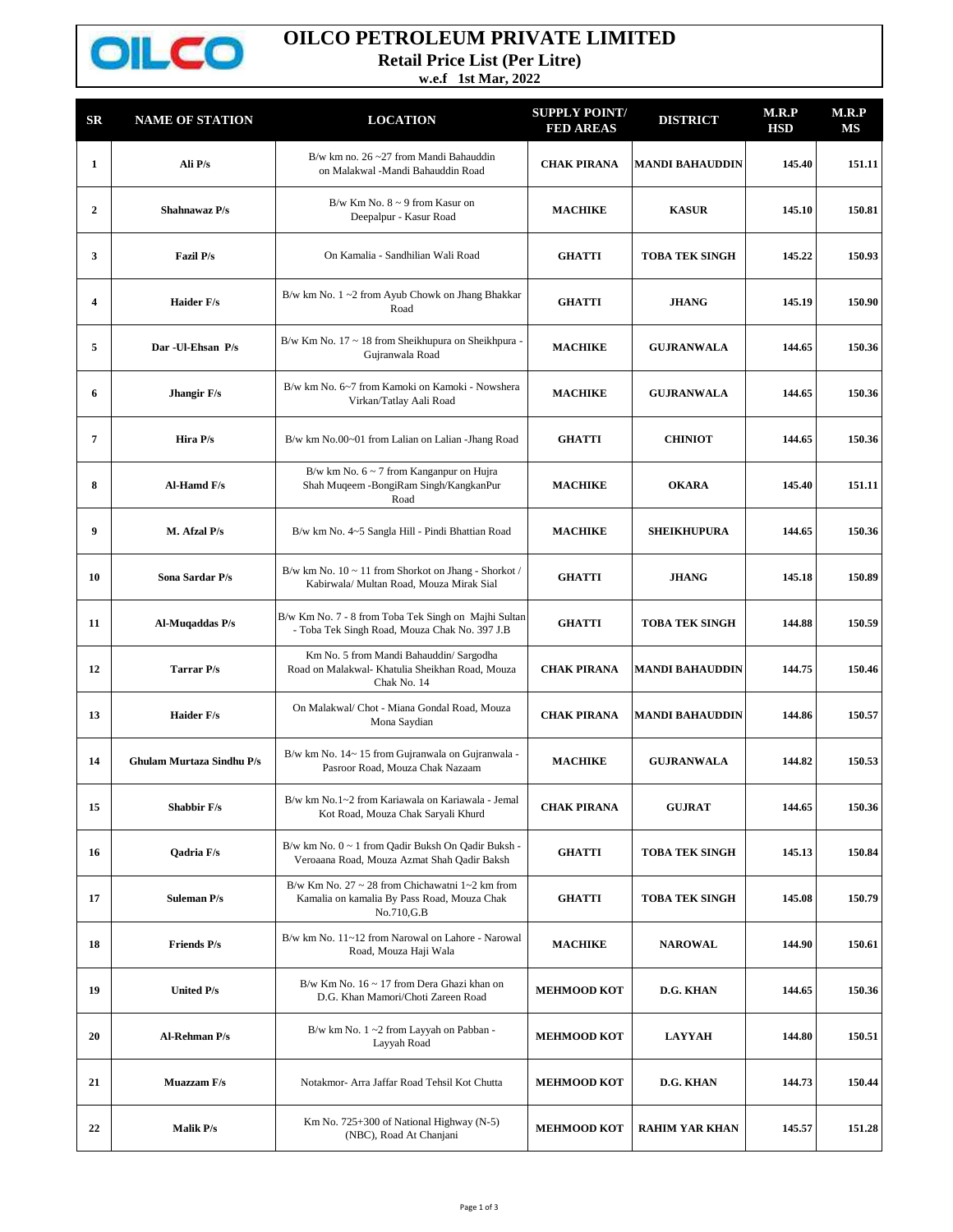

## **OILCO PETROLEUM PRIVATE LIMITED**

**Retail Price List (Per Litre)**

**w.e.f 1st Mar, 2022**

| SR                      | <b>NAME OF STATION</b>           | <b>LOCATION</b>                                                                                                          | <b>SUPPLY POINT/</b><br><b>FED AREAS</b> | <b>DISTRICT</b>        | M.R.P<br><b>HSD</b> | M.R.P<br>MS |
|-------------------------|----------------------------------|--------------------------------------------------------------------------------------------------------------------------|------------------------------------------|------------------------|---------------------|-------------|
| $\mathbf{1}$            | Ali P/s                          | B/w km no. $26 - 27$ from Mandi Bahauddin<br>on Malakwal -Mandi Bahauddin Road                                           | <b>CHAK PIRANA</b>                       | <b>MANDI BAHAUDDIN</b> | 145.40              | 151.11      |
| $\overline{2}$          | Shahnawaz P/s                    | $B/w$ Km No. $8 \sim 9$ from Kasur on<br>Deepalpur - Kasur Road                                                          | <b>MACHIKE</b>                           | <b>KASUR</b>           | 145.10              | 150.81      |
| 3                       | Fazil P/s                        | On Kamalia - Sandhilian Wali Road                                                                                        | <b>GHATTI</b>                            | <b>TOBA TEK SINGH</b>  | 145.22              | 150.93      |
| $\overline{\mathbf{4}}$ | <b>Haider F/s</b>                | B/w km No. 1~2 from Ayub Chowk on Jhang Bhakkar<br>Road                                                                  | <b>GHATTI</b>                            | <b>JHANG</b>           | 145.19              | 150.90      |
| 5                       | Dar - Ul-Ehsan P/s               | B/w Km No. $17 \sim 18$ from Sheikhupura on Sheikhpura -<br>Gujranwala Road                                              | <b>MACHIKE</b>                           | <b>GUJRANWALA</b>      | 144.65              | 150.36      |
| 6                       | Jhangir F/s                      | B/w km No. 6~7 from Kamoki on Kamoki - Nowshera<br>Virkan/Tatlay Aali Road                                               | <b>MACHIKE</b>                           | <b>GUJRANWALA</b>      | 144.65              | 150.36      |
| 7                       | Hira P/s                         | B/w km No.00~01 from Lalian on Lalian -Jhang Road                                                                        | <b>GHATTI</b>                            | <b>CHINIOT</b>         | 144.65              | 150.36      |
| 8                       | Al-Hamd F/s                      | B/w km No. $6 \sim 7$ from Kanganpur on Hujra<br>Shah Muqeem -BongiRam Singh/KangkanPur<br>Road                          | <b>MACHIKE</b>                           | <b>OKARA</b>           | 145.40              | 151.11      |
| 9                       | M. Afzal P/s                     | B/w km No. 4~5 Sangla Hill - Pindi Bhattian Road                                                                         | <b>MACHIKE</b>                           | <b>SHEIKHUPURA</b>     | 144.65              | 150.36      |
| 10                      | Sona Sardar P/s                  | B/w km No. 10 ~ 11 from Shorkot on Jhang - Shorkot /<br>Kabirwala/ Multan Road, Mouza Mirak Sial                         | <b>GHATTI</b>                            | <b>JHANG</b>           | 145.18              | 150.89      |
| 11                      | Al-Muqaddas P/s                  | B/w Km No. 7 - 8 from Toba Tek Singh on Majhi Sultan<br>- Toba Tek Singh Road, Mouza Chak No. 397 J.B                    | <b>GHATTI</b>                            | <b>TOBA TEK SINGH</b>  | 144.88              | 150.59      |
| 12                      | Tarrar P/s                       | Km No. 5 from Mandi Bahauddin/ Sargodha<br>Road on Malakwal- Khatulia Sheikhan Road, Mouza<br>Chak No. 14                | <b>CHAK PIRANA</b>                       | <b>MANDI BAHAUDDIN</b> | 144.75              | 150.46      |
| 13                      | <b>Haider F/s</b>                | On Malakwal/ Chot - Miana Gondal Road, Mouza<br>Mona Saydian                                                             | <b>CHAK PIRANA</b>                       | <b>MANDI BAHAUDDIN</b> | 144.86              | 150.57      |
| 14                      | <b>Ghulam Murtaza Sindhu P/s</b> | B/w km No. 14~15 from Gujranwala on Gujranwala -<br>Pasroor Road, Mouza Chak Nazaam                                      | <b>MACHIKE</b>                           | <b>GUJRANWALA</b>      | 144.82              | 150.53      |
| 15                      | <b>Shabbir F/s</b>               | B/w km No.1~2 from Kariawala on Kariawala - Jemal<br>Kot Road, Mouza Chak Saryali Khurd                                  | <b>CHAK PIRANA</b>                       | <b>GUJRAT</b>          | 144.65              | 150.36      |
| 16                      | <b>Oadria F/s</b>                | B/w km No. 0 ~ 1 from Qadir Buksh On Qadir Buksh -<br>Veroaana Road, Mouza Azmat Shah Qadir Baksh                        | <b>GHATTI</b>                            | <b>TOBA TEK SINGH</b>  | 145.13              | 150.84      |
| 17                      | <b>Suleman P/s</b>               | B/w Km No. 27 $\sim$ 28 from Chichawatni 1 $\sim$ 2 km from<br>Kamalia on kamalia By Pass Road, Mouza Chak<br>No.710,G.B | <b>GHATTI</b>                            | <b>TOBA TEK SINGH</b>  | 145.08              | 150.79      |
| 18                      | <b>Friends P/s</b>               | B/w km No. 11~12 from Narowal on Lahore - Narowal<br>Road, Mouza Haji Wala                                               | <b>MACHIKE</b>                           | <b>NAROWAL</b>         | 144.90              | 150.61      |
| 19                      | <b>United P/s</b>                | B/w Km No. $16 \sim 17$ from Dera Ghazi khan on<br>D.G. Khan Mamori/Choti Zareen Road                                    | <b>MEHMOOD KOT</b>                       | D.G. KHAN              | 144.65              | 150.36      |
| 20                      | <b>Al-Rehman P/s</b>             | B/w km No. 1~2 from Layyah on Pabban -<br>Layyah Road                                                                    | <b>MEHMOOD KOT</b>                       | <b>LAYYAH</b>          | 144.80              | 150.51      |
| 21                      | <b>Muazzam F/s</b>               | Notakmor- Arra Jaffar Road Tehsil Kot Chutta                                                                             | <b>MEHMOOD KOT</b>                       | D.G. KHAN              | 144.73              | 150.44      |
| 22                      | Malik P/s                        | Km No. 725+300 of National Highway (N-5)<br>(NBC), Road At Chanjani                                                      | <b>MEHMOOD KOT</b>                       | <b>RAHIM YAR KHAN</b>  | 145.57              | 151.28      |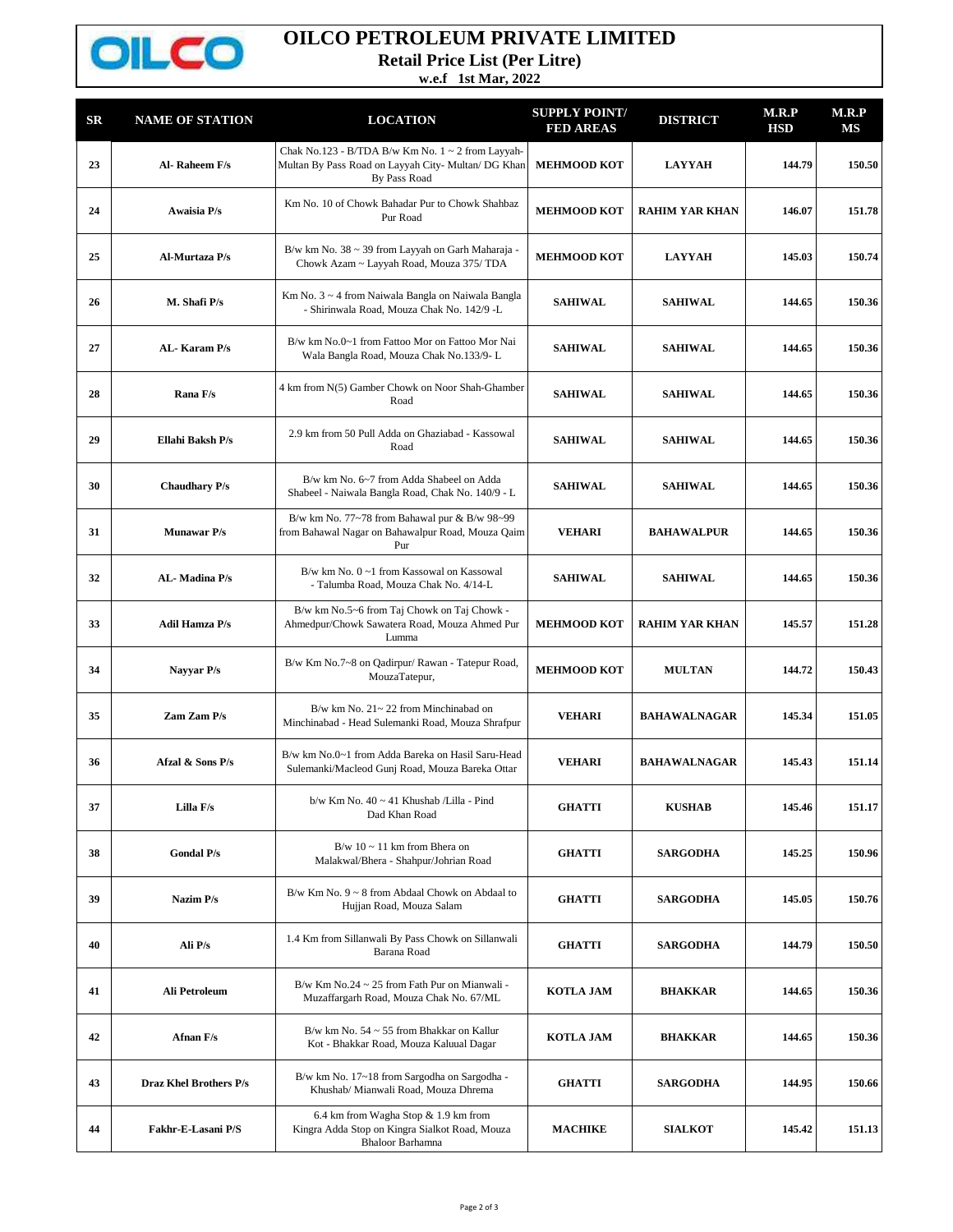

## **OILCO PETROLEUM PRIVATE LIMITED**

**Retail Price List (Per Litre)**

**w.e.f 1st Mar, 2022**

| SR | <b>NAME OF STATION</b> | <b>LOCATION</b>                                                                                                               | <b>SUPPLY POINT/</b><br><b>FED AREAS</b> | <b>DISTRICT</b>       | M.R.P<br><b>HSD</b> | M.R.P<br>MS |
|----|------------------------|-------------------------------------------------------------------------------------------------------------------------------|------------------------------------------|-----------------------|---------------------|-------------|
| 23 | Al-Raheem F/s          | Chak No.123 - B/TDA B/w Km No. $1 \sim 2$ from Layyah-<br>Multan By Pass Road on Layyah City- Multan/ DG Khan<br>By Pass Road | <b>MEHMOOD KOT</b>                       | <b>LAYYAH</b>         | 144.79              | 150.50      |
| 24 | <b>Awaisia P/s</b>     | Km No. 10 of Chowk Bahadar Pur to Chowk Shahbaz<br>Pur Road                                                                   | <b>MEHMOOD KOT</b>                       | <b>RAHIM YAR KHAN</b> | 146.07              | 151.78      |
| 25 | Al-Murtaza P/s         | B/w km No. 38 ~ 39 from Layyah on Garh Maharaja -<br>Chowk Azam ~ Layyah Road, Mouza 375/ TDA                                 | <b>MEHMOOD KOT</b>                       | <b>LAYYAH</b>         | 145.03              | 150.74      |
| 26 | M. Shafi P/s           | Km No. 3 ~ 4 from Naiwala Bangla on Naiwala Bangla<br>- Shirinwala Road, Mouza Chak No. 142/9 -L                              | <b>SAHIWAL</b>                           | <b>SAHIWAL</b>        | 144.65              | 150.36      |
| 27 | AL-Karam P/s           | B/w km No.0~1 from Fattoo Mor on Fattoo Mor Nai<br>Wala Bangla Road, Mouza Chak No.133/9-L                                    | <b>SAHIWAL</b>                           | <b>SAHIWAL</b>        | 144.65              | 150.36      |
| 28 | Rana F/s               | 4 km from N(5) Gamber Chowk on Noor Shah-Ghamber<br>Road                                                                      | <b>SAHIWAL</b>                           | <b>SAHIWAL</b>        | 144.65              | 150.36      |
| 29 | Ellahi Baksh P/s       | 2.9 km from 50 Pull Adda on Ghaziabad - Kassowal<br>Road                                                                      | <b>SAHIWAL</b>                           | <b>SAHIWAL</b>        | 144.65              | 150.36      |
| 30 | <b>Chaudhary P/s</b>   | B/w km No. 6~7 from Adda Shabeel on Adda<br>Shabeel - Naiwala Bangla Road, Chak No. 140/9 - L                                 | <b>SAHIWAL</b>                           | <b>SAHIWAL</b>        | 144.65              | 150.36      |
| 31 | <b>Munawar P/s</b>     | B/w km No. 77~78 from Bahawal pur & B/w 98~99<br>from Bahawal Nagar on Bahawalpur Road, Mouza Qaim<br>Pur                     | <b>VEHARI</b>                            | <b>BAHAWALPUR</b>     | 144.65              | 150.36      |
| 32 | AL-Madina P/s          | B/w km No. 0~1 from Kassowal on Kassowal<br>- Talumba Road, Mouza Chak No. 4/14-L                                             | <b>SAHIWAL</b>                           | <b>SAHIWAL</b>        | 144.65              | 150.36      |
| 33 | <b>Adil Hamza P/s</b>  | B/w km No.5~6 from Taj Chowk on Taj Chowk -<br>Ahmedpur/Chowk Sawatera Road, Mouza Ahmed Pur<br>Lumma                         | <b>MEHMOOD KOT</b>                       | <b>RAHIM YAR KHAN</b> | 145.57              | 151.28      |
| 34 | Nayyar P/s             | B/w Km No.7~8 on Qadirpur/ Rawan - Tatepur Road,<br>MouzaTatepur,                                                             | <b>MEHMOOD KOT</b>                       | <b>MULTAN</b>         | 144.72              | 150.43      |
| 35 | Zam Zam P/s            | $B/w$ km No. $21 \sim 22$ from Minchinabad on<br>Minchinabad - Head Sulemanki Road, Mouza Shrafpur                            | <b>VEHARI</b>                            | <b>BAHAWALNAGAR</b>   | 145.34              | 151.05      |
| 36 | Afzal & Sons P/s       | B/w km No.0~1 from Adda Bareka on Hasil Saru-Head<br>Sulemanki/Macleod Gunj Road, Mouza Bareka Ottar                          | <b>VEHARI</b>                            | <b>BAHAWALNAGAR</b>   | 145.43              | 151.14      |
| 37 | Lilla F/s              | b/w Km No. 40 ~ 41 Khushab /Lilla - Pind<br>Dad Khan Road                                                                     | <b>GHATTI</b>                            | <b>KUSHAB</b>         | 145.46              | 151.17      |
| 38 | <b>Gondal P/s</b>      | $B/w 10 \sim 11$ km from Bhera on<br>Malakwal/Bhera - Shahpur/Johrian Road                                                    | <b>GHATTI</b>                            | <b>SARGODHA</b>       | 145.25              | 150.96      |
| 39 | Nazim P/s              | B/w Km No. $9 \sim 8$ from Abdaal Chowk on Abdaal to<br>Hujjan Road, Mouza Salam                                              | <b>GHATTI</b>                            | <b>SARGODHA</b>       | 145.05              | 150.76      |
| 40 | Ali P/s                | 1.4 Km from Sillanwali By Pass Chowk on Sillanwali<br>Barana Road                                                             | <b>GHATTI</b>                            | <b>SARGODHA</b>       | 144.79              | 150.50      |
| 41 | Ali Petroleum          | B/w Km No.24 $\sim$ 25 from Fath Pur on Mianwali -<br>Muzaffargarh Road, Mouza Chak No. 67/ML                                 | <b>KOTLA JAM</b>                         | <b>BHAKKAR</b>        | 144.65              | 150.36      |
| 42 | Afnan F/s              | B/w km No. $54 \sim 55$ from Bhakkar on Kallur<br>Kot - Bhakkar Road, Mouza Kaluual Dagar                                     | <b>KOTLA JAM</b>                         | <b>BHAKKAR</b>        | 144.65              | 150.36      |
| 43 | Draz Khel Brothers P/s | B/w km No. 17~18 from Sargodha on Sargodha -<br>Khushab/ Mianwali Road, Mouza Dhrema                                          | <b>GHATTI</b>                            | <b>SARGODHA</b>       | 144.95              | 150.66      |
| 44 | Fakhr-E-Lasani P/S     | 6.4 km from Wagha Stop & 1.9 km from<br>Kingra Adda Stop on Kingra Sialkot Road, Mouza<br><b>Bhaloor Barhamna</b>             | <b>MACHIKE</b>                           | <b>SIALKOT</b>        | 145.42              | 151.13      |